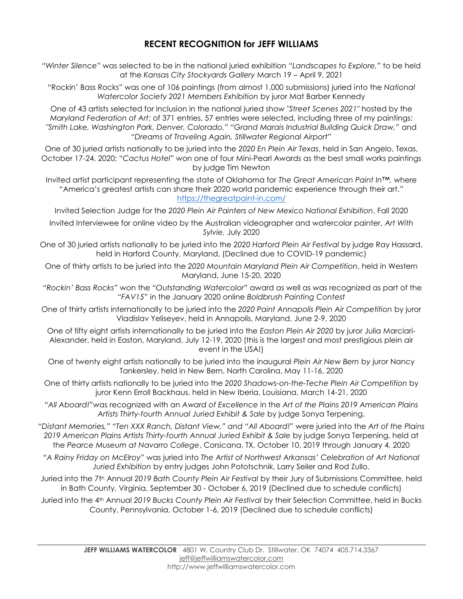## **RECENT RECOGNITION for JEFF WILLIAMS**

*"Winter Silence*" was selected to be in the national juried exhibition *"Landscapes to Explore,"* to be held at the *Kansas City Stockyards Gallery* March 19 – April 9, 2021

"Rockin' Bass Rocks" was one of 106 paintings (from almost 1,000 submissions) juried into the *National Watercolor Society 2021 Members Exhibition* by juror Mat Barber Kennedy

One of 43 artists selected for inclusion in the national juried show *"Street Scenes 2021"* hosted by the *Maryland Federation of Art*; of 371 entries, 57 entries were selected, including three of my paintings: *"Smith Lake, Washington Park, Denver, Colorado," "Grand Marais Industrial Building Quick Draw,"* and *"Dreams of Traveling Again, Stillwater Regional Airport"*

One of 30 juried artists nationally to be juried into the *2020 En Plein Air Texas*, held in San Angelo, Texas, October 17-24, 2020; *"Cactus Hotel"* won one of four Mini-Pearl Awards as the best small works paintings by judge Tim Newton

Invited artist participant representing the state of Oklahoma for *The Great American Paint In™,* where "America's greatest artists can share their 2020 world pandemic experience through their art." <https://thegreatpaint-in.com/>

Invited Selection Judge for the *2020 Plein Air Painters of New Mexico National Exhibition*, Fall 2020

- Invited Interviewee for online video by the Australian videographer and watercolor painter, *Art With Sylvie,* July 2020
- One of 30 juried artists nationally to be juried into the *2020 Harford Plein Air Festival* by judge Ray Hassard, held in Harford County, Maryland, (Declined due to COVID-19 pandemic)
- One of thirty artists to be juried into the *2020 Mountain Maryland Plein Air Competition*, held in Western Maryland, June 15-20, 2020
- *"Rockin' Bass Rocks"* won the *"Outstanding Watercolor"* award as well as was recognized as part of the *"FAV15*" in the January 2020 online *Boldbrush Painting Contest*
- One of thirty artists internationally to be juried into the *2020 Paint Annapolis Plein Air Competition* by juror Vladislav Yeliseyev, held in Annapolis, Maryland, June 2-9, 2020

One of fifty eight artists internationally to be juried into the *Easton Plein Air 2020* by juror Julia Marciari-Alexander, held in Easton, Maryland, July 12-19, 2020 (this is the largest and most prestigious plein air event in the USA!)

- One of twenty eight artists nationally to be juried into the inaugural *Plein Air New Bern* b*y* juror Nancy Tankersley, held in New Bern, North Carolina, May 11-16, 2020
- One of thirty artists nationally to be juried into the *2020 Shadows-on-the-Teche Plein Air Competition* by juror Kenn Erroll Backhaus, held in New Iberia, Louisiana, March 14-21, 2020
- *"All Aboard!"*was recognized with an *Award of Excellence* in the *Art of the Plains 2019 American Plains Artists Thirty-fourth Annual Juried Exhibit & Sale* by judge Sonya Terpening.
- *"Distant Memories," "Ten XXX Ranch, Distant View," and "All Aboard!"* were juried into the *Art of the Plains*  2019 American Plains Artists Thirty-fourth Annual Juried Exhibit & Sale by judge Sonya Terpening, held at the *Pearce Museum at Navarro College*, Corsicana, TX, October 10, 2019 through January 4, 2020
- *"A Rainy Friday on McElroy"* was juried into *The Artist of Northwest Arkansas' Celebration of Art National Juried Exhibition* by entry judges John Pototschnik, Larry Seiler and Rod Zullo.
- Juried into the 7t<sup>h</sup> Annual *2019 Bath County Plein Air Festival* by their Jury of Submissions Committee, held in Bath County, Virginia, September 30 - October 6, 2019 (Declined due to schedule conflicts)
- Juried into the 4th Annual *2019 Bucks County Plein Air Festival* by their Selection Committee, held in Bucks County, Pennsylvania, October 1-6, 2019 (Declined due to schedule conflicts)